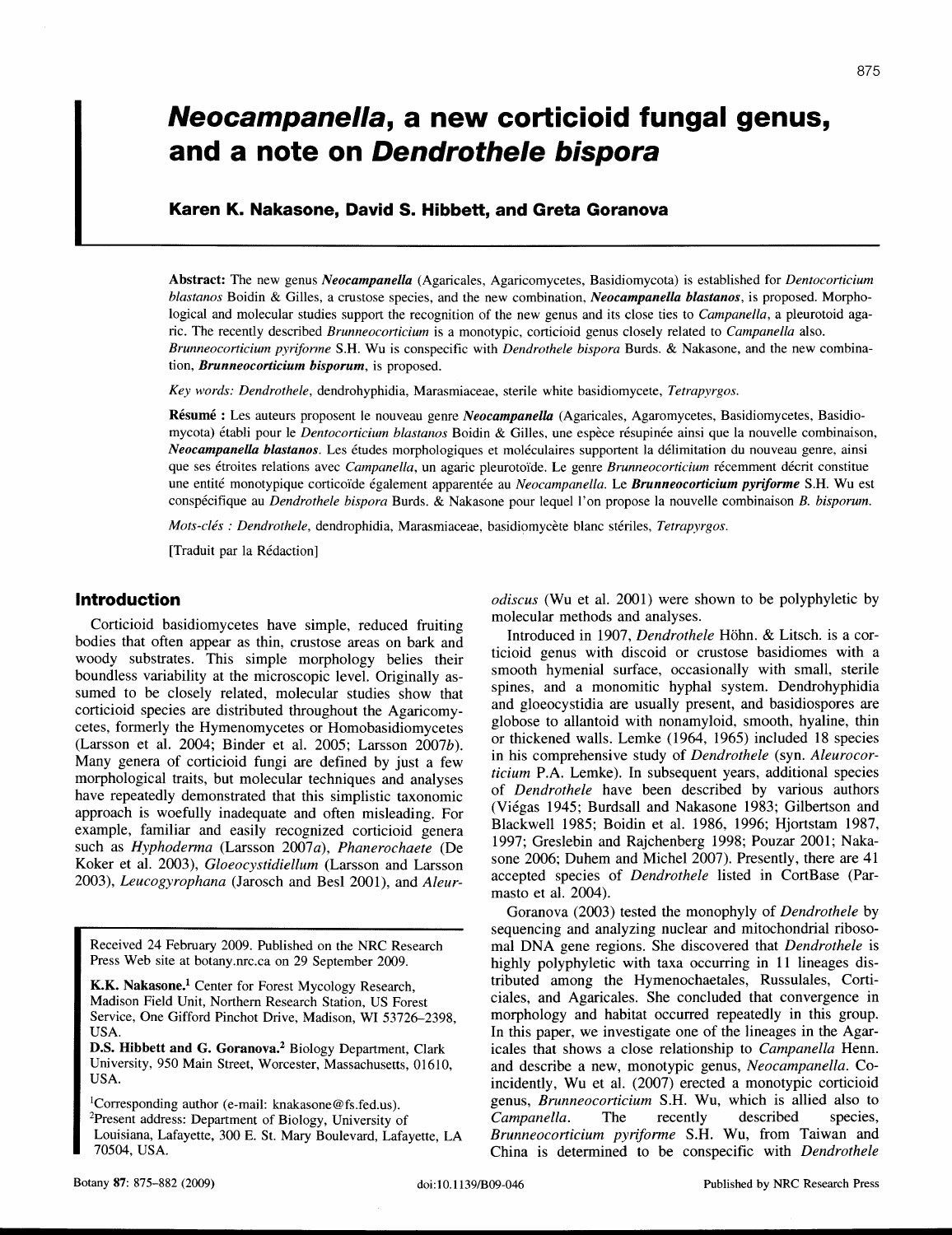# **Neocampanella, a new corticioid fungal genus, and a note on Dendrothe/e bispora**

# **Karen K. Nakasone, David S. Hibbett, and Greta Goranova**

Abstract: The new genus *Neocampanella* (Agaricales, Agaricomycetes, Basidiomycota) is established for *Dentocorticium blastanos* Boidin & Gilles, a crustose species, and the new combination, *Neocampanella blastanos,* is proposed. Morphological and molecular studies support the recognition of the new genus and its close ties to *Campanella*, a pleurotoid agaric. The recently described *Brunneocorticium* is a monotypic, corticioid genus closely related to *Campanella* also. *Brunneocorticium pyrifonne* S.H. Wu is conspecific with *Dendrothele bispora* Burds. & Nakasone, and the new combination, *Brunneocorticium bisporum,* is proposed.

*Key words: Dendrothele,* dendrohyphidia, Marasmiaceae, sterile white basidiomycete, *Tetrapyrgos.*

Résumé : Les auteurs proposent le nouveau genre *Neocampanella* (Agaricales, Agaromycetes, Basidiomycetes, Basidiomycota) etabli pour le *Dentocorticium blastanos* Boidin & Gilles, une espece resupinee ainsi que la nouvelle combinaison, *Neocampanella blastanos.* Les etudes morphologiques et moleculaires supportent la delimitation du nouveau genre, ainsi que ses etroites relations avec *Campanella,* un agaric pleurotoide, Le genre *Brunneocorticium* recemment decrit constitue une entité monotypique corticoïde également apparentée au *Neocampanella*. Le *Brunneocorticium pyriforme* S.H. Wu est conspecifique au *Dendrothele bispora* Burds. & Nakasone pour lequel I' on propose la nouvelle combinaison B. *bisporum.*

*Mots-des: Dendrothele,* dendrophidia, Marasmiaceae, basidiomycete blanc steriles, *Tetrapyrgos.*

[Traduit par la Redaction]

# **Introduction**

Corticioid basidiomycetes have simple, reduced fruiting bodies that often appear as thin, crustose areas on bark and woody substrates. This simple morphology belies their boundless variability at the microscopic level. Originally assumed to be closely related, molecular studies show that corticioid species are distributed throughout the Agaricomycetes, formerly the Hymenomycetes or Homobasidiomycetes (Larsson et al. 2004; Binder et al. 2005; Larsson *2007b).* Many genera of corticioid fungi are defined by just a few morphological traits, but molecular techniques and analyses have repeatedly demonstrated that this simplistic taxonomic approach is woefully inadequate and often misleading. For example, familiar and easily recognized corticioid genera such as *Hyphodenna* (Larsson *2007a), Phanerochaete* (De Koker et al. 2003), *Gloeocystidiellum* (Larsson and Larsson *2003), Leucogyrophana* (Jarosch and Besl 2001), and *Aleur-*

Received 24 February 2009. Published on the NRC Research Press Web site at botany.nrc.ca on 29 September 2009.

K.K. Nakasone.<sup>1</sup> Center for Forest Mycology Research, Madison Field Unit, Northern Research Station, US Forest Service, One Gifford Pinchot Drive, Madison, WI 53726-2398, USA.

D.S. **Hibbett and** G. Goranova.' Biology Department, Clark University, 950 Main Street, Worcester, Massachusetts, 01610, USA.

'Corresponding author (e-mail: knakasone@fs.fed.us). 2Present address: Department of Biology, University of Louisiana, Lafayette, 300 E. St. Mary Boulevard, Lafayette, LA 70504, USA.

*odiscus* (Wu et al. 2001) were shown to be polyphyletic by molecular methods and analyses.

Introduced in 1907, *Dendrothele* Hohn. & Litsch. is a corticioid genus with discoid or crustose basidiomes with a smooth hymenial surface, occasionally with small, sterile spines, and a monomitic hyphal system. Dendrohyphidia and gloeocystidia are usually present, and basidiospores are globose to allantoid with nonamyloid, smooth, hyaline, thin or thickened walls. Lemke (1964, 1965) included 18 species in his comprehensive study of *Dendrothele* (syn. *Aleurocorticium* P.A. Lemke). In subsequent years, additional species of *Dendrothele* have been described by various authors (Viegas 1945; Burdsall and Nakasone 1983; Gilbertson and Blackwell 1985; Boidin et al. 1986, 1996; Hjortstam 1987, 1997; Greslebin and Rajchenberg 1998; Pouzar 2001; Nakasone 2006; Duhem and Michel 2007). Presently, there are 41 accepted species of *Dendrothele* listed in CortBase (Parmasto et al. 2004).

Goranova (2003) tested the monophyly of *Dendrothele* by sequencing and analyzing nuclear and mitochondrial ribosomal DNA gene regions. She discovered that *Dendrothele* is highly polyphyletic with taxa occurring in 11 lineages distributed among the Hymenochaetales, Russulales, Corticiales, and Agaricales. She concluded that convergence in morphology and habitat occurred repeatedly in this group. In this paper, we investigate one of the lineages in the Agaricales that shows a close relationship to *Campanella* Henn. and describe a new, monotypic genus, *Neocampanella.* Coincidently, Wu et al. (2007) erected a monotypic corticioid genus, *Brunneocorticium* S.H. Wu, which is allied also to *Campanella.* The recently described species, *Brunneocorticium pyriforme* S.H. Wu, from Taiwan and China is determined to be conspecific with *Dendrothele*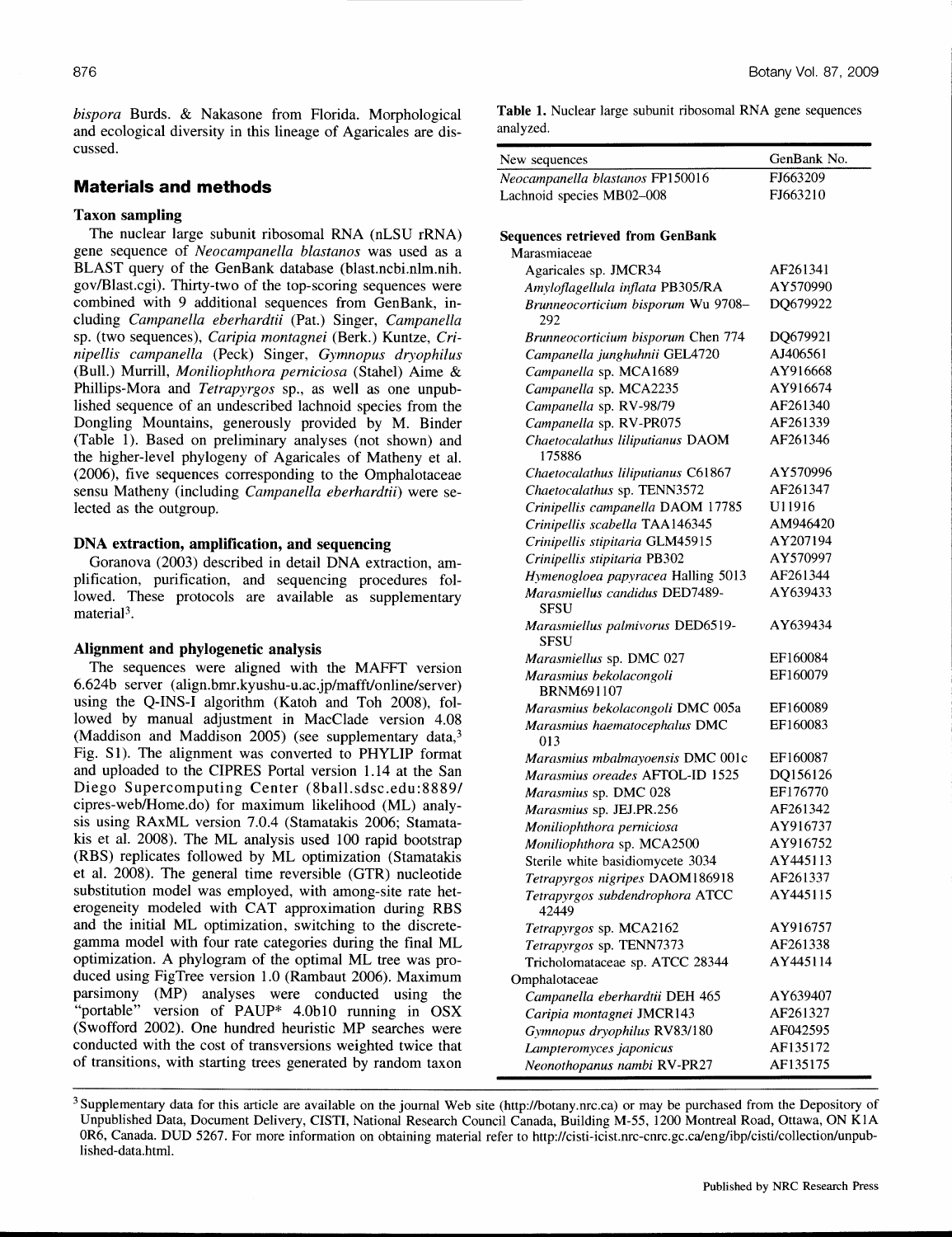*bispora* Burds. & Nakasone from Florida. Morphological and ecological diversity in this lineage of Agaricales are discussed.

# **Materials and methods**

# Taxon sampling

The nuclear large subunit ribosomal RNA (nLSU rRNA) gene sequence of *Neocampanella blastanos* was used as a BLAST query of the GenBank database (blast.ncbi.nlm.nih. govlBlast.cgi). Thirty-two of the top-scoring sequences were combined with 9 additional sequences from GenBank, including *Campanella eberhardtii* (Pat.) Singer, *Campanella* sp. (two sequences), *Caripia montagnei* (Berk.) Kuntze, *Crinipellis campanella* (Peck) Singer, *Gymnopus dryophilus* (Bull.) Murrill, *Moniliophthora perniciosa* (Stahel) Aime & Phillips-Mora and *Tetrapyrgos* sp., as well as one unpublished sequence of an undescribed lachnoid species from the Dongling Mountains, generously provided by M. Binder (Table 1). Based on preliminary analyses (not shown) and the higher-level phylogeny of Agaricales of Matheny et al. (2006), five sequences corresponding to the Omphalotaceae sensu Matheny (including *Campanella eberhardtiii* were selected as the outgroup.

## DNA extraction, amplification, and sequencing

Goranova (2003) described in detail DNA extraction, amplification, purification, and sequencing procedures followed. These protocols are available as supplementary material<sup>3</sup>.

#### Alignment and phylogenetic analysis

The sequences were aligned with the MAFFT version 6.624b server (align.bmr.kyushu-u.ac.jp/mafft/online/server) using the Q-INS-I algorithm (Katoh and Toh 2008), followed by manual adjustment in MacClade version 4.08 (Maddison and Maddison 2005) (see supplementary data,<sup>3</sup> Fig. S1). The alignment was converted to PHYLIP format and uploaded to the CIPRES Portal version 1.14 at the San Diego Supercomputing Center (8ball.sdsc.edu:8889/ cipres-web/Home.do) for maximum likelihood (ML) analysis using RAxML version 7.0.4 (Stamatakis 2006; Stamatakis et al. 2008). The ML analysis used 100 rapid bootstrap (RBS) replicates followed by ML optimization (Stamatakis et al. 2008). The general time reversible (GTR) nucleotide substitution model was employed, with among-site rate heterogeneity modeled with CAT approximation during RBS and the initial ML optimization, switching to the discretegamma model with four rate categories during the final ML optimization. A phylogram of the optimal ML tree was produced using FigTree version 1.0 (Rambaut 2006). Maximum parsimony (MP) analyses were conducted using the "portable" version of PAUP\* 4.0b10 running in OSX (Swofford 2002). One hundred heuristic MP searches were conducted with the cost of transversions weighted twice that of transitions, with starting trees generated by random taxon Table 1. Nuclear large subunit ribosomal RNA gene sequences analyzed.

| New sequences                    | GenBank No. |
|----------------------------------|-------------|
| Neocampanella blastanos FP150016 | FJ663209    |
| Lachnoid species MB02-008        | FJ663210    |
|                                  |             |
|                                  |             |

## Sequences retrieved from GenBank

| Marasmiaceae                                    |          |
|-------------------------------------------------|----------|
| Agaricales sp. JMCR34                           | AF261341 |
| Amyloflagellula inflata PB305/RA                | AY570990 |
| Brunneocorticium bisporum Wu 9708-<br>292       | DQ679922 |
| Brunneocorticium bisporum Chen 774              | DQ679921 |
| Campanella junghuhnii GEL4720                   | AJ406561 |
| Campanella sp. MCA1689                          | AY916668 |
| Campanella sp. MCA2235                          | AY916674 |
| Campanella sp. RV-98/79                         | AF261340 |
| Campanella sp. RV-PR075                         | AF261339 |
| Chaetocalathus liliputianus DAOM<br>175886      | AF261346 |
| Chaetocalathus liliputianus C61867              | AY570996 |
| Chaetocalathus sp. TENN3572                     | AF261347 |
| Crinipellis campanella DAOM 17785               | U11916   |
| Crinipellis scabella TAA146345                  | AM946420 |
| Crinipellis stipitaria GLM45915                 | AY207194 |
| Crinipellis stipitaria PB302                    | AY570997 |
| Hymenogloea papyracea Halling 5013              | AF261344 |
| Marasmiellus candidus DED7489-<br><b>SFSU</b>   | AY639433 |
| Marasmiellus palmivorus DED6519-<br><b>SFSU</b> | AY639434 |
| Marasmiellus sp. DMC 027                        | EF160084 |
| Marasmius bekolacongoli<br><b>BRNM691107</b>    | EF160079 |
| Marasmius bekolacongoli DMC 005a                | EF160089 |
| Marasmius haematocephalus DMC<br>013            | EF160083 |
| Marasmius mbalmayoensis DMC 001c                | EF160087 |
| Marasmius oreades AFTOL-ID 1525                 | DQ156126 |
| Marasmius sp. DMC 028                           | EF176770 |
| Marasmius sp. JEJ.PR.256                        | AF261342 |
| Moniliophthora perniciosa                       | AY916737 |
| Moniliophthora sp. MCA2500                      | AY916752 |
| Sterile white basidiomycete 3034                | AY445113 |
| Tetrapyrgos nigripes DAOM186918                 | AF261337 |
| Tetrapyrgos subdendrophora ATCC<br>42449        | AY445115 |
| Tetrapyrgos sp. MCA2162                         | AY916757 |
| Tetrapyrgos sp. TENN7373                        | AF261338 |
| Tricholomataceae sp. ATCC 28344                 | AY445114 |
| Omphalotaceae                                   |          |
| Campanella eberhardtii DEH 465                  | AY639407 |
| Caripia montagnei JMCR143                       | AF261327 |
| Gymnopus dryophilus RV83/180                    | AF042595 |
| Lampteromyces japonicus                         | AF135172 |
| Neonothopanus nambi RV-PR27                     | AF135175 |

<sup>&</sup>lt;sup>3</sup> Supplementary data for this article are available on the journal Web site (http://botany.nrc.ca) or may be purchased from the Depository of Unpublished Data, Document Delivery, CISTI, National Research Council Canada, Building M-55, 1200 Montreal Road, Ottawa, ON KIA OR6, Canada. DUD 5267. For more information on obtaining material refer to http://cisti-icist.nrc-cnrc.gc.ca/eng/ibp/cisti/collection/unpublished-data.html.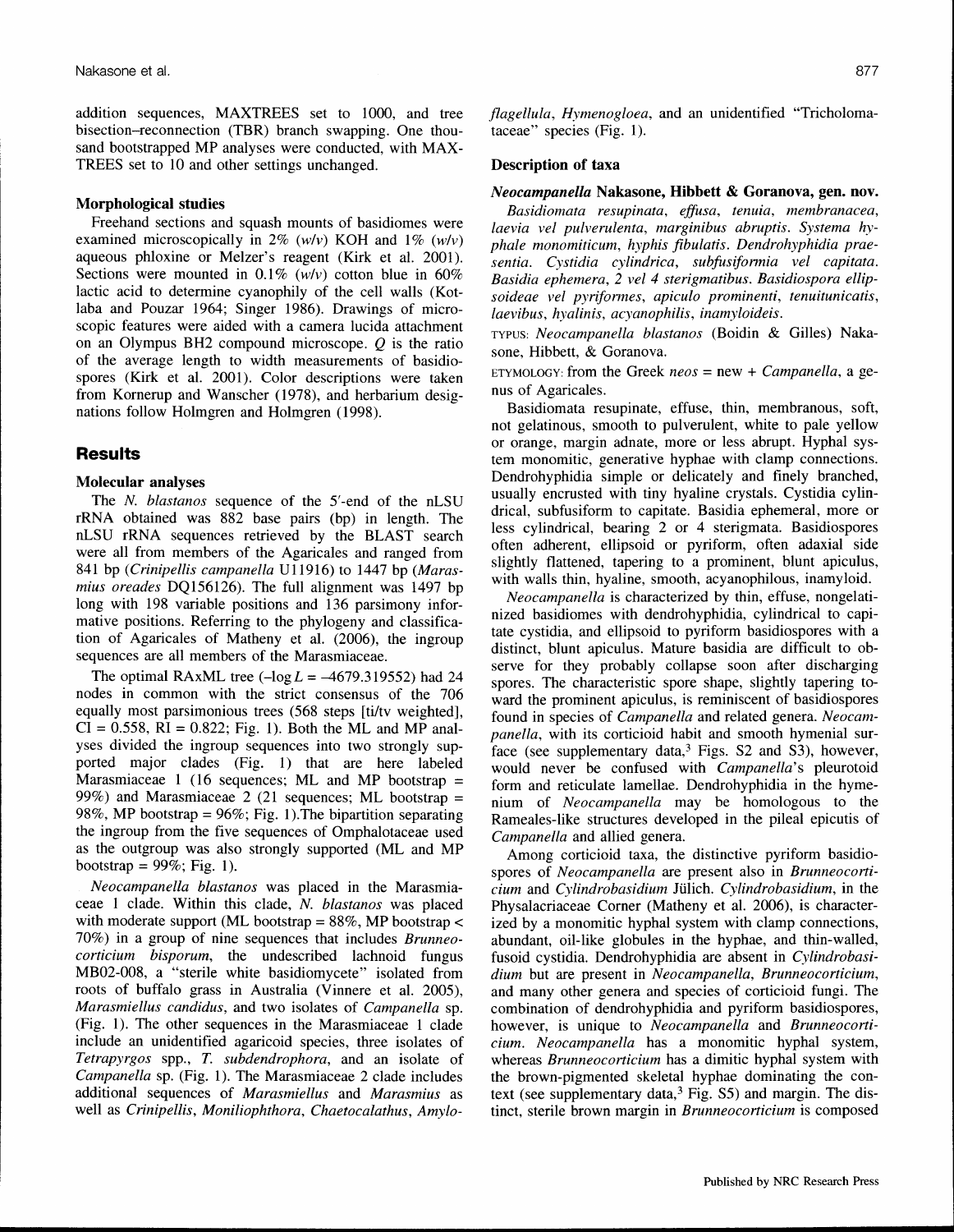addition sequences, MAXTREES set to 1000, and tree bisection-reconnection (TBR) branch swapping. One thousand bootstrapped MP analyses were conducted, with MAX-TREES set to 10 and other settings unchanged.

#### Morphological studies

Freehand sections and squash mounts of basidiomes were examined microscopically in 2% *(wlv)* KOH and 1% *(wlv)* aqueous phloxine or Melzer's reagent (Kirk et al. 2001). Sections were mounted in 0.1% *(wlv)* cotton blue in 60% lactic acid to determine cyanophily of the cell walls (Kotlaba and Pouzar 1964; Singer 1986). Drawings of microscopic features were aided with a camera lucida attachment on an Olympus BH2 compound microscope. Q is the ratio of the average length to width measurements of basidiospores (Kirk et al. 2001). Color descriptions were taken from Kornerup and Wanscher (1978), and herbarium designations follow Holmgren and Holmgren (1998).

## **Results**

# Molecular analyses

The N. *blastanos* sequence of the 5'-end of the nLSU rRNA obtained was 882 base pairs (bp) in length. The nLSU rRNA sequences retrieved by the BLAST search were all from members of the Agaricales and ranged from 841 bp *(Crinipellis campanella* U11916) to 1447 bp *(Marasmius oreades* DQI56126). The full alignment was 1497 bp long with 198 variable positions and 136 parsimony informative positions. Referring to the phylogeny and classification of Agaricales of Matheny et al. (2006), the ingroup sequences are all members of the Marasmiaceae,

The optimal RAxML tree  $(-\log L = -4679.319552)$  had 24 nodes in common with the strict consensus of the 706 equally most parsimonious trees (568 steps [ti/tv weighted],  $CI = 0.558$ ,  $RI = 0.822$ ; Fig. 1). Both the ML and MP analyses divided the ingroup sequences into two strongly supported major clades (Fig. 1) that are here labeled Marasmiaceae 1 (16 sequences; ML and MP bootstrap = 99%) and Marasmiaceae 2 (21 sequences; ML bootstrap  $=$ 98%, MP bootstrap =  $96\%$ ; Fig. 1). The bipartition separating the ingroup from the five sequences of Omphalotaceae used as the outgroup was also strongly supported (ML and MP bootstrap =  $99\%$ ; Fig. 1).

*Neocampanella blastanos* was placed in the Marasmiaceae 1 clade. Within this clade, *N. blastanos* was placed with moderate support (ML bootstrap =  $88\%$ , MP bootstrap < 70%) in a group of nine sequences that includes *Brunneocorticium bisporum,* the undescribed lachnoid fungus MB02-008, a "sterile white basidiomycete" isolated from roots of buffalo grass in Australia (Vinnere et al. 2005), *Marasmiellus candidus,* and two isolates of *Campanella* sp. (Fig. 1). The other sequences in the Marasmiaceae 1 clade include an unidentified agaricoid species, three isolates of *Tetrapyrgos* spp., *T. subdendrophora,* and an isolate of *Campanella* sp. (Fig. 1). The Marasmiaceae 2 clade includes additional sequences of *Marasmiellus* and *Marasmius* as well as *Crinipellis, Moniliophthora, Chaetocalathus, Amylo-* *flagellula, Hymenogloea,* and an unidentified "Tricholomataceae" species (Fig. 1).

#### Description of taxa

#### *Neocampanella* Nakasone, Hibbett & Goranova, gen. nov.

*Basidiomata resupinata, effusa, tenuia, membranacea, laevia vel pulverulenta, marginibus abruptis. Systema hyphale monomiticum, hyphis fibulatis. Dendrohyphidia praesentia. Cystidia cylindrica, subfusiformia vel capitata. Basidia ephemera,* 2 *vel* 4 *sterigmatibus. Basidiospora ellipsoideae vel pyrifonnes, apiculo prominenti, tenuitunicatis, laevibus, hyalinis, acyanophilis, inamyloideis.*

TYPUS: *Neocampanella blastanos* (Boidin & Gilles) Nakasone, Hibbett, & Goranova.

ETYMOLOGY: from the Greek *neos* = new + *Campanella,* a genus of Agaricales.

Basidiomata resupinate, effuse, thin, membranous, soft, not gelatinous, smooth to pulverulent, white to pale yellow or orange, margin adnate, more or less abrupt. Hyphal system monomitic, generative hyphae with clamp connections. Dendrohyphidia simple or delicately and finely branched, usually encrusted with tiny hyaline crystals. Cystidia cylindrical, subfusiform to capitate. Basidia ephemeral, more or less cylindrical, bearing 2 or 4 sterigmata. Basidiospores often adherent, ellipsoid or pyriform, often adaxial side slightly flattened, tapering to a prominent, blunt apiculus, with walls thin, hyaline, smooth, acyanophilous, inamyloid.

*Neocampanella* is characterized by thin, effuse, nongelatinized basidiomes with dendrohyphidia, cylindrical to capitate cystidia, and ellipsoid to pyriform basidiospores with a distinct, blunt apiculus. Mature basidia are difficult to observe for they probably collapse soon after discharging spores. The characteristic spore shape, slightly tapering toward the prominent apiculus, is reminiscent of basidiospores found in species of *Campanella* and related genera. *Neocampanella,* with its corticioid habit and smooth hymenial surface (see supplementary data, $3$  Figs. S2 and S3), however, would never be confused with *Campanella's* pleurotoid form and reticulate lamellae. Dendrohyphidia in the hymenium of *Neocampanella* may be homologous to the Rameales-like structures developed in the pileal epicutis of *Campanella* and allied genera.

Among corticioid taxa, the distinctive pyriform basidiospores of *Neocampanella* are present also in *Brunneocortidum* and *Cvlindrobasidium* Julich. *Cylindrobasidium,* in the Physalacriaceae Corner (Matheny et al. 2006), is characterized by a monomitic hyphal system with clamp connections, abundant, oil-like globules in the hyphae, and thin-walled, fusoid cystidia. Dendrohyphidia are absent in *Cylindrobasidium* but are present in *Neocampanella, Brunneocorticium,* and many other genera and species of corticioid fungi. The combination of dendrohyphidia and pyriform basidiospores, however, is unique to *Neocampanella* and *Brunneocortidum. Neocampanella* has a monomitic hyphal system, whereas *Brunneocorticium* has a dimitic hyphal system with the brown-pigmented skeletal hyphae dominating the context (see supplementary data, $3$  Fig. S5) and margin. The distinct, sterile brown margin in *Brunneocorticium* is composed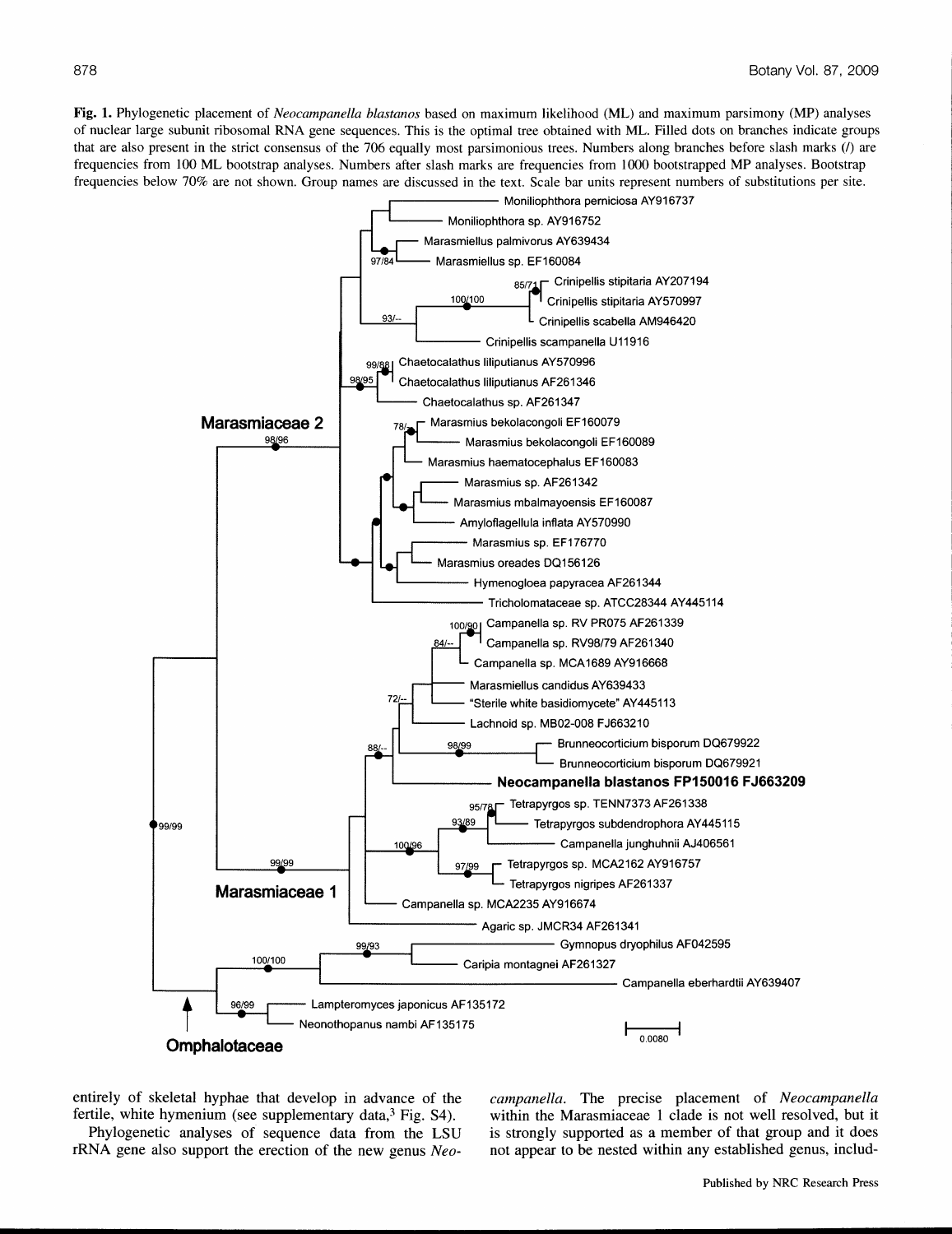Fig. 1. Phylogenetic placement of *Neocampanella blastanos* based on maximum likelihood (ML) and maximum parsimony (MP) analyses of nuclear large subunit ribosomal RNA gene sequences. This is the optimal tree obtained with ML. Filled dots on branches indicate groups that are also present in the strict consensus of the 706 equally most parsimonious trees. Numbers along branches before slash marks *(I)* are frequencies from 100 ML bootstrap analyses. Numbers after slash marks are frequencies from 1000 bootstrapped MP analyses. Bootstrap frequencies below 70% are not shown. Group names are discussed in the text. Scale bar units represent numbers of substitutions per site.



entirely of skeletal hyphae that develop in advance of the fertile, white hymenium (see supplementary data, $3$  Fig. S4).

Phylogenetic analyses of sequence data from the LSD rRNA gene also support the erection of the new genus *Neo-* *campanella.* The precise placement of *Neocampanella* within the Marasmiaceae 1 clade is not well resolved, but it is strongly supported as a member of that group and it does not appear to be nested within any established genus, includ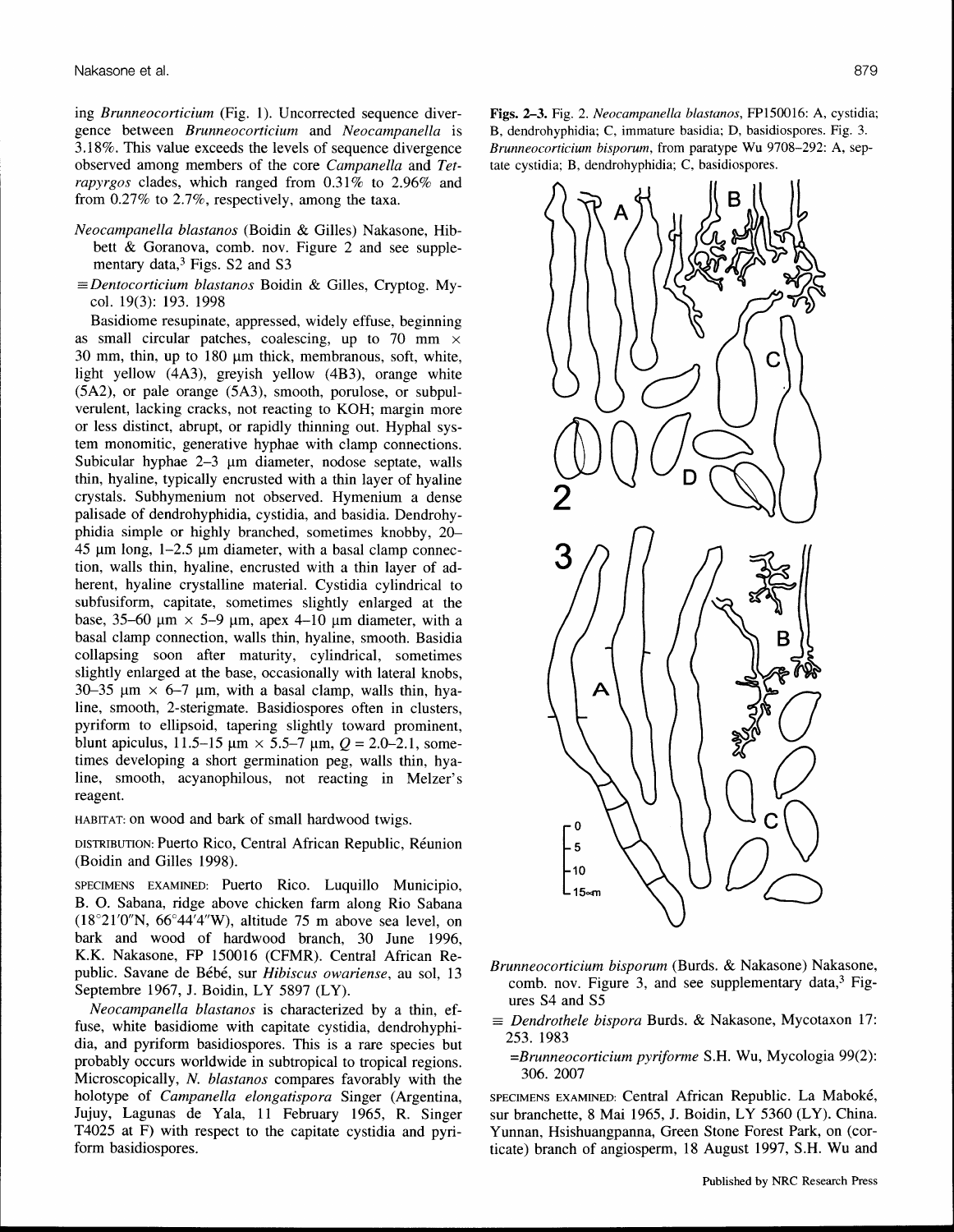ing *Brunneocorticium* (Fig. 1). Uncorrected sequence divergence between *Brunneocorticium* and *Neocampanella* is 3.18%. This value exceeds the levels of sequence divergence observed among members of the core *Campanella* and *Tetrapyrgos* clades, which ranged from 0.31% to 2.96% and from 0.27% to 2.7%, respectively, among the taxa.

- *Neocampanella blastanos* (Boidin & Gilles) Nakasone, Hibbett & Goranova, comb. nov. Figure 2 and see supplementary data, $3$  Figs. S2 and S3
- == *Dentocorticium blastanos* Boidin & Gilles, Cryptog. Mycol. 19(3): 193. 1998

Basidiome resupinate, appressed, widely effuse, beginning as small circular patches, coalescing, up to 70 mm  $\times$  $30$  mm, thin, up to  $180$  µm thick, membranous, soft, white, light yellow (4A3), greyish yellow (4B3), orange white (5A2), or pale orange (5A3), smooth, porulose, or subpulverulent, lacking cracks, not reacting to KOH; margin more or less distinct, abrupt, or rapidly thinning out. Hyphal system monomitic, generative hyphae with clamp connections. Subicular hyphae  $2-3$  µm diameter, nodose septate, walls thin, hyaline, typically encrusted with a thin layer of hyaline crystals. Subhymenium not observed. Hymenium a dense palisade of dendrohyphidia, cystidia, and basidia. Dendrohyphidia simple or highly branched, sometimes knobby, 20-  $45 \mu m$  long,  $1-2.5 \mu m$  diameter, with a basal clamp connection, walls thin, hyaline, encrusted with a thin layer of adherent, hyaline crystalline material. Cystidia cylindrical to subfusiform, capitate, sometimes slightly enlarged at the base, 35–60  $\mu$ m  $\times$  5–9  $\mu$ m, apex 4–10  $\mu$ m diameter, with a basal clamp connection, walls thin, hyaline, smooth. Basidia collapsing soon after maturity, cylindrical, sometimes slightly enlarged at the base, occasionally with lateral knobs, 30-35  $\mu$ m × 6-7  $\mu$ m, with a basal clamp, walls thin, hyaline, smooth, 2-sterigmate. Basidiospores often in clusters, pyriform to ellipsoid, tapering slightly toward prominent, blunt apiculus, 11.5–15  $\mu$ m × 5.5–7  $\mu$ m,  $Q = 2.0$ –2.1, sometimes developing a short germination peg, walls thin, hyaline, smooth, acyanophilous, not reacting in Melzer's reagent.

HABITAT: on wood and bark of small hardwood twigs.

DISTRIBUTION: Puerto Rico, Central African Republic, Reunion (Boidin and Gilles 1998).

SPECIMENS EXAMINED: Puerto Rico. Luquillo Municipio, B. O. Sabana, ridge above chicken farm along Rio Sabana  $(18°21'0''N, 66°44'4''W)$ , altitude 75 m above sea level, on bark and wood of hardwood branch, 30 June 1996, K.K. Nakasone, FP 150016 (CFMR). Central African Republic. Savane de Bebe, sur *Hibiscus owariense,* au sol, 13 Septembre 1967, J. Boidin, LY 5897 (LY).

*Neocampanella blastanos* is characterized by a thin, effuse, white basidiome with capitate cystidia, dendrohyphidia, and pyriform basidiospores. This is a rare species but probably occurs worldwide in subtropical to tropical regions. Microscopically, *N. blastanos* compares favorably with the holotype of *Campanella elongatispora* Singer (Argentina, Jujuy, Lagunas de Yala, 11 February 1965, R. Singer T4025 at F) with respect to the capitate cystidia and pyriform basidiospores.

Figs. 2-3. Fig. 2. *Neocampanella blastanos,* FP150016: A, cystidia; B, dendrohyphidia; C, immature basidia; D, basidiospores. Fig. 3. *Brunneocorticium bisporum,* from paratype Wu 9708-292: A, septate cystidia; B, dendrohyphidia; C, basidiospores.



- *Brunneocorticium bisporum* (Burds. & Nakasone) Nakasone, comb. nov. Figure 3, and see supplementary data, $3$  Figures S4 and S5
- == *Dendrothele bispora* Burds. & Nakasone, Mycotaxon 17: 253. 1983
	- *=Brunneocorticium pyriforme* S.H. Wu, Mycologia 99(2): 306. 2007

SPECIMENS EXAMINED: Central African Republic. La Maboke, sur branchette, 8 Mai 1965, 1. Boidin, LY 5360 (LY). China. Yunnan, Hsishuangpanna, Green Stone Forest Park, on (corticate) branch of angiosperm, 18 August 1997, S.H. Wu and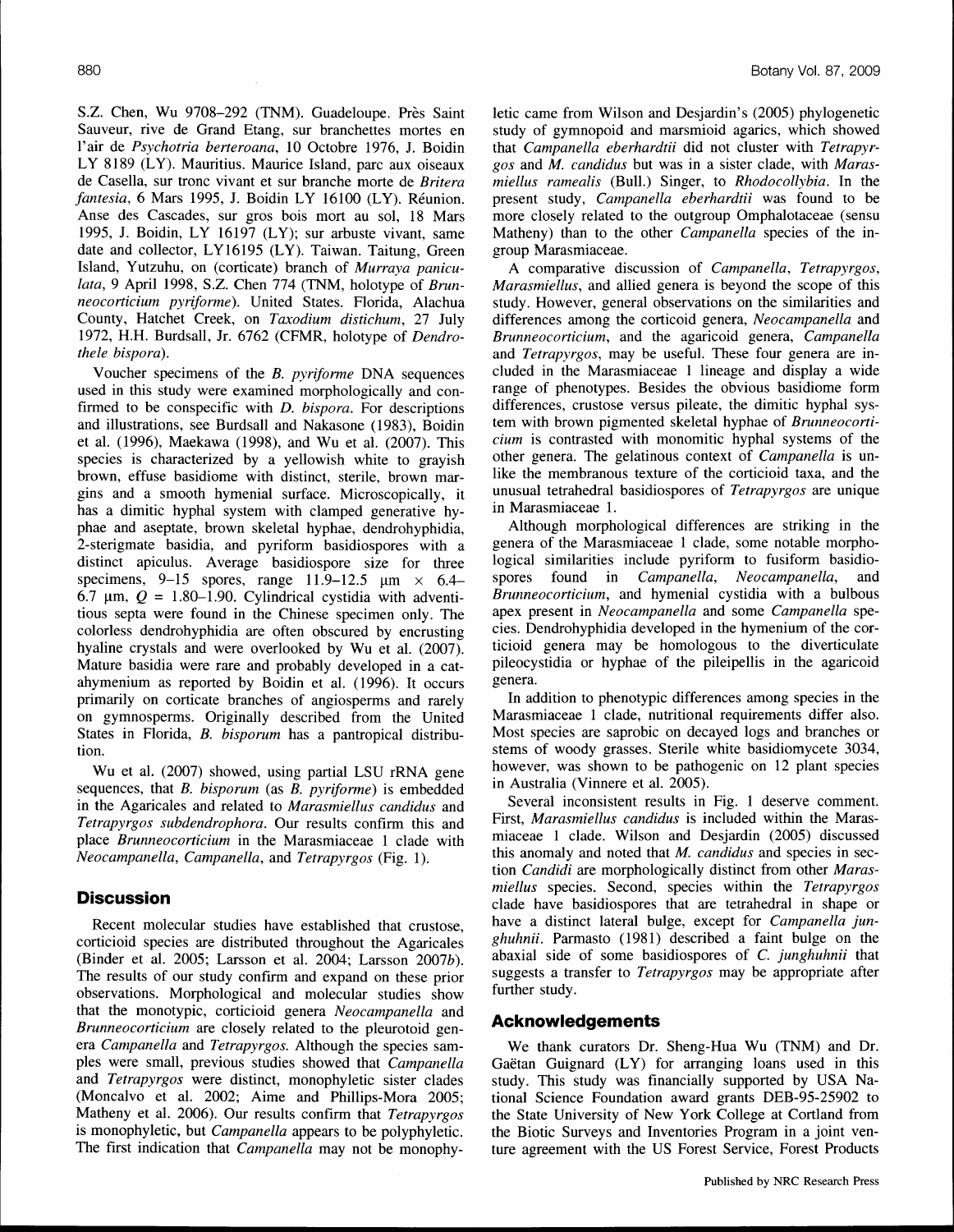S.Z. Chen, Wu 9708-292 (TNM). Guadeloupe. Près Saint Sauveur, rive de Grand Etang, sur branchettes mortes en l'air de *Psychotria berteroana*, 10 Octobre 1976, J. Boidin LY 8189 (LY). Mauritius. Maurice Island, pare aux oiseaux de Casella, sur tronc vivant et sur branche morte de *Britera faniesia,* 6 Mars 1995, J. Boidin LY 16100 (LY). Reunion. Anse des Cascades, sur gros bois mort au sol, 18 Mars 1995, J. Boidin, LY 16197 (LY); sur arbuste vivant, same date and collector, LY16195 (LY). Taiwan. Taitung, Green Island, Yutzuhu, on (corticate) branch of *Murraya paniculata,* 9 April 1998, S.Z. Chen 774 (TNM, holotype of *Brunneocorticium pyriforme).* United States. Florida, Alachua County, Hatchet Creek, on *Taxodium distichum,* 27 July 1972, H.H. Burdsall, Jr. 6762 (CFMR, holotype of *Dendrothele bispora).*

Voucher specimens of the *B. pyriforme* DNA sequences used in this study were examined morphologically and confirmed to be conspecific with *D. bispora.* For descriptions and illustrations, see Burdsall and Nakasone (1983), Boidin et al. (1996), Maekawa (1998), and Wu et al. (2007). This species is characterized by a yellowish white to grayish brown, effuse basidiome with distinct, sterile, brown margins and a smooth hymenial surface. Microscopically, it has a dimitic hyphal system with clamped generative hyphae and aseptate, brown skeletal hyphae, dendrohyphidia, 2-sterigmate basidia, and pyriform basidiospores with a distinct apiculus. Average basidiospore size for three specimens, 9–15 spores, range 11.9–12.5  $\mu$ m  $\times$  6.4– 6.7  $\mu$ m,  $Q = 1.80 - 1.90$ . Cylindrical cystidia with adventitious septa were found in the Chinese specimen only. The colorless dendrohyphidia are often obscured by encrusting hyaline crystals and were overlooked by Wu et al. (2007). Mature basidia were rare and probably developed in a catahymenium as reported by Boidin et al. (1996). It occurs primarily on corticate branches of angiosperms and rarely on gymnosperms. Originally described from the United States in Florida, *B. bisporum* has a pantropical distribution.

Wu et al. (2007) showed, using partial LSU rRNA gene sequences, that *B. bisporum* (as *B. pyriforme)* is embedded in the Agaricales and related to *Marasmiellus candidus* and *Tetrapyrgos subdendrophora.* Our results confirm this and place *Brunneocorticium* in the Marasmiaceae 1 clade with *Neocampanella, Campanella,* and *Tetrapyrgos* (Fig. 1).

# **Discussion**

Recent molecular studies have established that crustose, corticioid species are distributed throughout the Agaricales (Binder et al. 2005; Larsson et al. 2004; Larsson 2007b). The results of our study confirm and expand on these prior observations. Morphological and molecular studies show that the monotypic, corticioid genera *Neocampanella* and *Brunneocorticium* are closely related to the pleurotoid genera *Campanella* and *Tetrapyrgos.* Although the species samples were small, previous studies showed that *Campanella* and *Tetrapyrgos* were distinct, monophyletic sister clades (Moncalvo et al. 2002; Aime and Phillips-Mora 2005; Matheny et al. 2006). Our results confirm that *Tetrapyrgos* is monophyletic, but *Campanella* appears to be polyphyletic. The first indication that *Campanella* may not be monophyletic came from Wilson and Desjardin's (2005) phylogenetic study of gymnopoid and marsmioid agarics, which showed that *Campanella eberhardtii* did not cluster with *Tetrapyrgos* and *M. candidus* but was in a sister clade, with *Marasmiellus ramealis* (Bull.) Singer, to *Rhodocollybia.* In the present study, *Campanella eberhardtii* was found to be more closely related to the outgroup Omphalotaceae (sensu Matheny) than to the other *Campanella* species of the ingroup Marasmiaceae.

A comparative discussion of *Campanella, Tetrapyrgos, Marasmiellus,* and allied genera is beyond the scope of this study. However, general observations on the similarities and differences among the corticoid genera, *Neocampanella* and *Brunneocorticium,* and the agaricoid genera, *Campanella* and *Tetrapyrgos,* may be useful. These four genera are included in the Marasmiaceae 1 lineage and display a wide range of phenotypes. Besides the obvious basidiome form differences, crustose versus pileate, the dimitic hyphal system with brown pigmented skeletal hyphae of *Brunneocorticium* is contrasted with monomitic hyphal systems of the other genera. The gelatinous context of *Campanella* is unlike the membranous texture of the corticioid taxa, and the unusual tetrahedral basidiospores of *Tetrapyrgos* are unique in Marasmiaceae 1.

Although morphological differences are striking in the genera of the Marasmiaceae 1 clade, some notable morphological similarities include pyriform to fusiform basidiospores found in *Campanella, Neocampanella,* and *Brunneocorticium,* and hymenial cystidia with a bulbous apex present in *Neocampanella* and some *Campanella* species. Dendrohyphidia developed in the hymenium of the corticioid genera may be homologous to the diverticulate pileocystidia or hyphae of the pileipellis in the agaricoid genera.

In addition to phenotypic differences among species in the Marasmiaceae 1 clade, nutritional requirements differ also. Most species are saprobic on decayed logs and branches or stems of woody grasses. Sterile white basidiomycete 3034, however, was shown to be pathogenic on 12 plant species in Australia (Vinnere et al. 2005).

Several inconsistent results in Fig. 1 deserve comment. First, *Marasmiellus candidus* is included within the Marasmiaceae 1 clade. Wilson and Desjardin (2005) discussed this anomaly and noted that *M. candidus* and species in section *Candidi* are morphologically distinct from other *Marasmiellus* species. Second, species within the *Tetrapyrgos* clade have basidiospores that are tetrahedral in shape or have a distinct lateral bulge, except for *Campanella junghuhnii.* Parmasto (1981) described a faint bulge on the abaxial side of some basidiospores of C. *junghuhnii* that suggests a transfer to *Tetrapyrgos* may be appropriate after further study.

#### **Acknowledgements**

We thank curators Dr. Sheng-Hua Wu (TNM) and Dr. Gaëtan Guignard (LY) for arranging loans used in this study. This study was financially supported by USA National Science Foundation award grants DEB-95-25902 to the State University of New York College at Cortland from the Biotic Surveys and Inventories Program in a joint venture agreement with the US Forest Service, Forest Products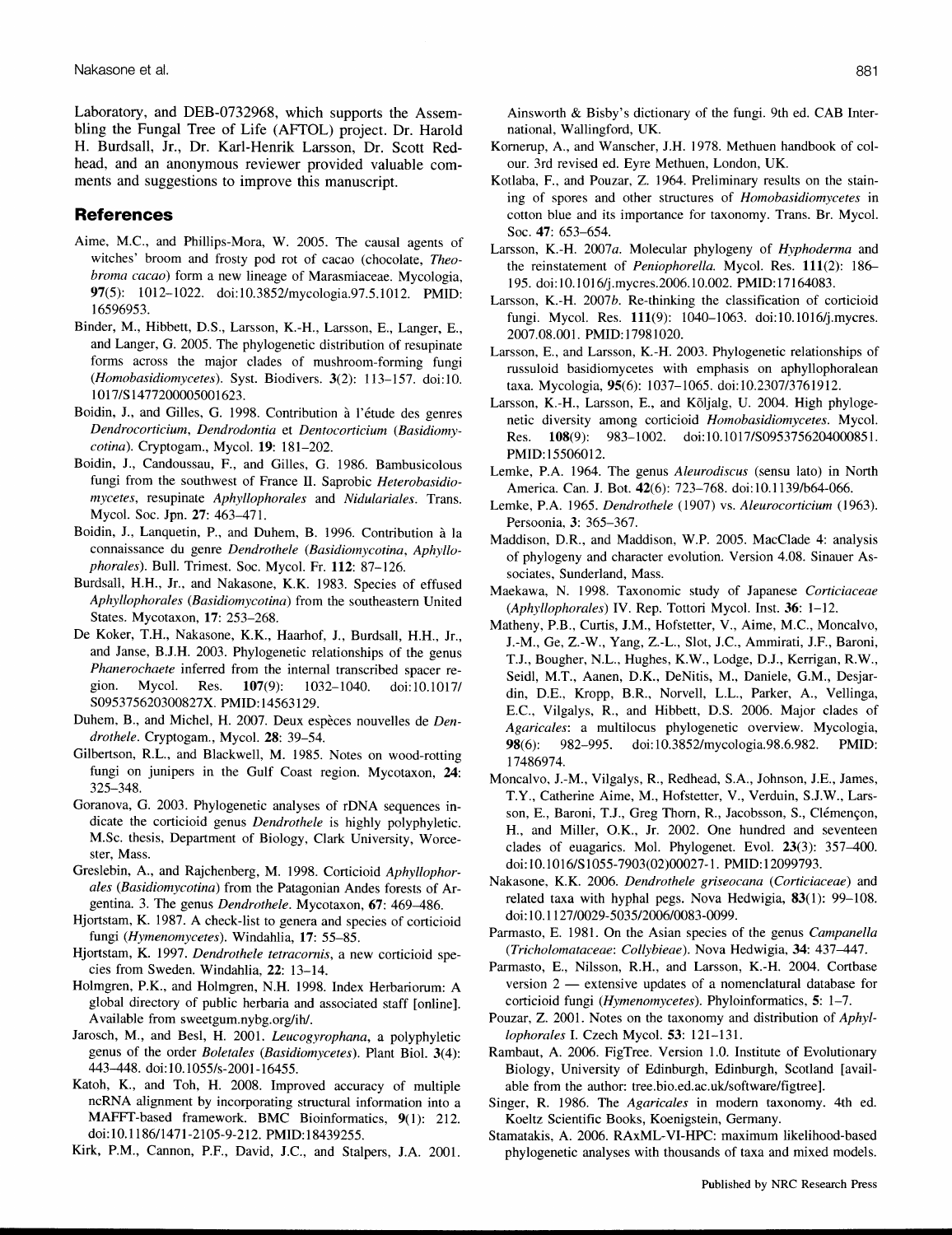Laboratory, and DEB-0732968, which supports the Assembling the Fungal Tree of Life (AFTOL) project. Dr. Harold H. Burdsall, Jr., Dr. Karl-Henrik Larsson, Dr. Scott Redhead, and an anonymous reviewer provided valuable comments and suggestions to improve this manuscript.

## **References**

- Aime, M.C., and Phillips-Mora, W. 2005. The causal agents of witches' broom and frosty pod rot of cacao (chocolate, *Theobroma cacao)* form a new lineage of Marasmiaceae. Mycologia, 97(5): 1012-1022. doi:1O.3852/mycologia.97.5.1012. PMID: 16596953.
- Binder, M., Hibbett, D.S., Larsson, K-H., Larsson, E., Langer, E., and Langer, G. 2005. The phylogenetic distribution of resupinate forms across the major clades of mushroom-forming fungi *(Homobasidiomycetes).* Syst. Biodivers. 3(2): 113-157. doi:lO. 1017/S1477200005001623.
- Boidin, J., and Gilles, G. 1998. Contribution à l'étude des genres *Dendrocorticium, Dendrodontia* et *Dentocorticium (Basidiomycotina).* Cryptogam., Mycol. 19: 181-202.
- Boidin, J., Candoussau, F., and Gilles, G. 1986. Bambusicolous fungi from the southwest of France II. Saprobic *Heterobasidiomycetes,* resupinate *Aphyllophorales* and *Nidulariales.* Trans. Mycol. Soc. Jpn. 27: 463-471.
- Boidin, 1., Lanquetin, P., and Duhem, B. 1996. Contribution a la connaissance du genre *Dendrothele (Basidiomycotina, Aphyllophorales).* Bull. Trimest. Soc. Mycol. Fr. 112: 87-126.
- Burdsall, H.H., Jr., and Nakasone, K.K. 1983. Species of effused Aphyllophorales (Basidiomycotina) from the southeastern United States. Mycotaxon, 17: 253-268.
- De Koker, T.H., Nakasone, KK, Haarhof, J., Burdsall, H.H., Jr., and Janse, B.J.H. 2003. Phylogenetic relationships of the genus *Phanerochaete* inferred from the internal transcribed spacer region. Mycol. Res. 107(9): 1032-1040. doi:l0.1017/ S095375620300827X. PMID: 14563129.
- Duhem, B., and Michel, H. 2007. Deux espèces nouvelles de *Dendrothele.* Cryptogam., Mycol. 28: 39-54.
- Gilbertson, RL., and Blackwell, M. 1985. Notes on wood-rotting fungi on junipers in the Gulf Coast region. Mycotaxon, 24: 325-348.
- Goranova, G. 2003. Phylogenetic analyses of rDNA sequences indicate the corticioid genus *Dendrothele* is highly polyphyletic. M.Sc. thesis, Department of Biology, Clark University, Worcester, Mass.
- Greslebin, A., and Rajchenberg, M. 1998. Corticioid *Aphyllophorales (Basidiomycotina)* from the Patagonian Andes forests of Argentina. 3. The genus *Dendrothele.* Mycotaxon, 67: 469-486.
- Hjortstam, K. 1987. A check-list to genera and species of corticioid fungi *(Hymenomycetes).* Windahlia, 17: 55-85.
- Hjortstam, K 1997. *Dendrothele tetracomis,* a new corticioid species from Sweden. Windahlia, 22: 13-14.
- Holmgren, P.K, and Holmgren, N.H. 1998. Index Herbariorum: A global directory of public herbaria and associated staff [online]. Available from sweetgum.nybg.org/ihl.
- Jarosch, M., and Besl, H. 2001. *Leucogyrophana,* a polyphyletic genus of the order *Boletales (Basidiomycetes).* Plant BioI. 3(4): 443-448. doi:1O.1055/s-2001-16455.
- Katoh, K, and Toh, H. 2008. Improved accuracy of multiple ncRNA alignment by incorporating structural information into a MAFFT-based framework. BMC Bioinformatics, 9(l): 212. doi:1O.1186/1471-2105-9-212. PMID:18439255.

Kirk, P.M., Cannon, P.F., David, J.c., and Stalpers, J.A 2001.

881

Ainsworth & Bisby's dictionary of the fungi. 9th ed. CAB International, Wallingford, UK

- Kornerup, A., and Wanscher, J.H. 1978. Methuen handbook of colour. 3rd revised ed. Eyre Methuen, London, UK
- Kotlaba, E, and Pouzar, Z. 1964. Preliminary results on the staining of spores and other structures of *Homobasidiomycetes* in cotton blue and its importance for taxonomy. Trans. Br. Mycol. Soc. 47: 653-654.
- Larsson, K-H. *2007a.* Molecular phylogeny of *Hyphoderma* and the reinstatement of *Peniophorella.* Mycol. Res. 111(2): 186- 195. doi: 10.1016/j.mycres.2006. 10.002. PMID:17164083.
- Larsson, K-H. *2007b.* Re-thinking the classification of corticioid fungi. Mycol. Res. 111(9): 1040-1063. doi:1O.1016/j.mycres. 2007.08.001. PMID:17981020.
- Larsson, E., and Larsson, K-H. 2003. Phylogenetic relationships of russuloid basidiomycetes with emphasis on aphyllophoralean taxa. Mycologia, 95(6): 1037-1065. doi:1O.2307/3761912.
- Larsson, K.-H., Larsson, E., and Kõljalg, U. 2004. High phylogenetic diversity among corticioid *Homobasidiomycetes.* Mycol. Res. 108(9): 983-1002. doi:10.1017/S0953756204000851. PMID: 15506012.
- Lemke, P.A 1964. The genus *Aleurodiscus* (sensu lato) in North America. Can. J. Bot. 42(6): 723-768. doi:1O.1139/b64-066.
- Lemke, P.A 1965. *Dendrothele* (1907) vs. *Aleurocorticium (1963).* Persoonia, 3: 365-367.
- Maddison, D.R, and Maddison, W.P. 2005. MacClade 4: analysis of phylogeny and character evolution. Version 4.08. Sinauer Associates, Sunderland, Mass.
- Maekawa, N. 1998. Taxonomic study of Japanese *Corticiaceae (Aphyllophorales)* IV. Rep. Tottori Mycol. Inst. 36: 1-12.
- Matheny, P.B., Curtis, J.M., Hofstetter, V., Aime, M.C., Moncalvo, J.-M., Ge, Z.-W., Yang, Z.-L., Slot, J.C., Ammirati, J.F., Baroni, T.J., Bougher, N.L., Hughes, K.W., Lodge, D.J., Kerrigan, R.W., Seidl, M.T., Aanen, D.K, DeNitis, M., Daniele, G.M., Desjardin, D.E., Kropp, B.R, Norvell, L.L., Parker, A, Vellinga, E.c., Vilgalys, R, and Hibbett, D.S. 2006. Major clades of *Agaricales:* a multilocus phylogenetic overview. Mycologia, 98(6): 982-995. doi: 1O.3852/mycologia.98.6.982. PMID: 17486974.
- Moncalvo, J.-M., Vilgalys, R, Redhead, S.A., Johnson, J.E., James, T.Y., Catherine Aime, M., Hofstetter, V., Verduin, S.J.W., Larsson, E., Baroni, T.J., Greg Thorn, R., Jacobsson, S., Clémençon, H., and Miller, O.K, Jr. 2002. One hundred and seventeen clades of euagarics. Mol. Phylogenet. Evol. 23(3): 357-400. doi: 10.1016/S1055-7903(02)00027-1. PMID: 12099793.
- Nakasone, KK 2006. *Dendrothele griseocana (Corticiaceae)* and related taxa with hyphal pegs. Nova Hedwigia, 83(1): 99-108. doi: 10.1127/0029-5035/2006/0083-0099.
- Parmasto, E. 1981. On the Asian species of the genus *Campanella tTricholomataceae: Collybieae).* Nova Hedwigia, 34: 437-447.
- Parmasto, E., Nilsson, R.H., and Larsson, K.-H. 2004. Cortbase version  $2$  - extensive updates of a nomenclatural database for corticioid fungi *(Hymenomycetes).* Phyloinformatics, 5: 1-7.
- Pouzar, Z. 2001. Notes on the taxonomy and distribution of *Aphyllophorales* I. Czech Mycol. 53: 121-131.
- Rambaut, A. 2006. FigTree. Version 1.0. Institute of Evolutionary Biology, University of Edinburgh, Edinburgh, Scotland [available from the author: tree.bio.ed.ac.uk/software/figtree].
- Singer, R. 1986. The *Agaricales* in modern taxonomy. 4th ed. Koeltz Scientific Books, Koenigstein, Germany.
- Stamatakis, A. 2006. RAxML-VI-HPC: maximum likelihood-based phylogenetic analyses with thousands of taxa and mixed models.